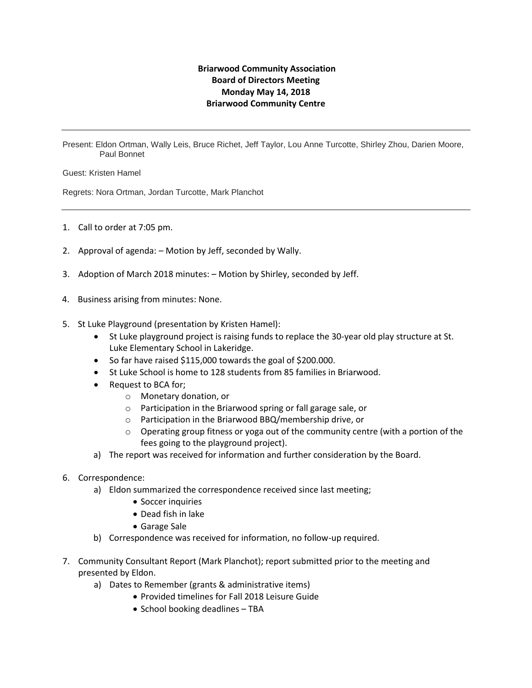## **Briarwood Community Association Board of Directors Meeting Monday May 14, 2018 Briarwood Community Centre**

Present: Eldon Ortman, Wally Leis, Bruce Richet, Jeff Taylor, Lou Anne Turcotte, Shirley Zhou, Darien Moore, Paul Bonnet

Guest: Kristen Hamel

Regrets: Nora Ortman, Jordan Turcotte, Mark Planchot

- 1. Call to order at 7:05 pm.
- 2. Approval of agenda: Motion by Jeff, seconded by Wally.
- 3. Adoption of March 2018 minutes: Motion by Shirley, seconded by Jeff.
- 4. Business arising from minutes: None.
- 5. St Luke Playground (presentation by Kristen Hamel):
	- St Luke playground project is raising funds to replace the 30-year old play structure at St. Luke Elementary School in Lakeridge.
	- So far have raised \$115,000 towards the goal of \$200.000.
	- St Luke School is home to 128 students from 85 families in Briarwood.
	- Request to BCA for;
		- o Monetary donation, or
		- o Participation in the Briarwood spring or fall garage sale, or
		- o Participation in the Briarwood BBQ/membership drive, or
		- $\circ$  Operating group fitness or yoga out of the community centre (with a portion of the fees going to the playground project).
	- a) The report was received for information and further consideration by the Board.
- 6. Correspondence:
	- a) Eldon summarized the correspondence received since last meeting;
		- Soccer inquiries
		- Dead fish in lake
		- Garage Sale
	- b) Correspondence was received for information, no follow-up required.
- 7. Community Consultant Report (Mark Planchot); report submitted prior to the meeting and presented by Eldon.
	- a) Dates to Remember (grants & administrative items)
		- Provided timelines for Fall 2018 Leisure Guide
		- School booking deadlines TBA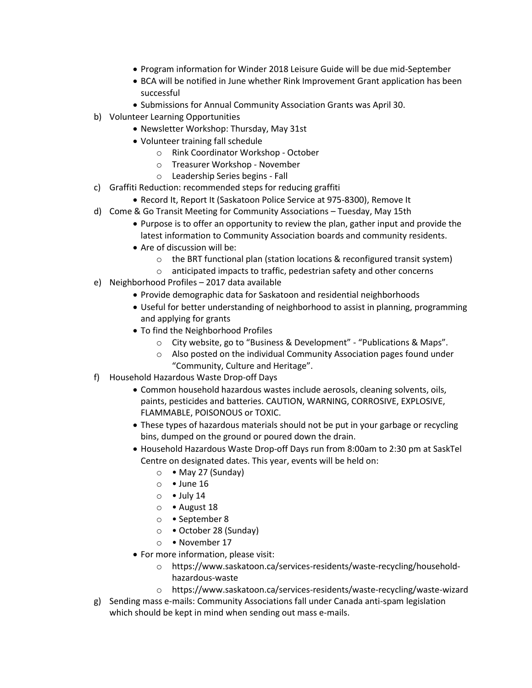- Program information for Winder 2018 Leisure Guide will be due mid-September
- BCA will be notified in June whether Rink Improvement Grant application has been successful
- Submissions for Annual Community Association Grants was April 30.
- b) Volunteer Learning Opportunities
	- Newsletter Workshop: Thursday, May 31st
	- Volunteer training fall schedule
		- o Rink Coordinator Workshop October
		- o Treasurer Workshop November
		- o Leadership Series begins Fall
- c) Graffiti Reduction: recommended steps for reducing graffiti
	- Record It, Report It (Saskatoon Police Service at 975-8300), Remove It
- d) Come & Go Transit Meeting for Community Associations Tuesday, May 15th
	- Purpose is to offer an opportunity to review the plan, gather input and provide the latest information to Community Association boards and community residents.
	- Are of discussion will be:
		- o the BRT functional plan (station locations & reconfigured transit system)
		- o anticipated impacts to traffic, pedestrian safety and other concerns
- e) Neighborhood Profiles 2017 data available
	- Provide demographic data for Saskatoon and residential neighborhoods
	- Useful for better understanding of neighborhood to assist in planning, programming and applying for grants
	- To find the Neighborhood Profiles
		- o City website, go to "Business & Development" "Publications & Maps".
		- o Also posted on the individual Community Association pages found under "Community, Culture and Heritage".
- f) Household Hazardous Waste Drop-off Days
	- Common household hazardous wastes include aerosols, cleaning solvents, oils, paints, pesticides and batteries. CAUTION, WARNING, CORROSIVE, EXPLOSIVE, FLAMMABLE, POISONOUS or TOXIC.
	- These types of hazardous materials should not be put in your garbage or recycling bins, dumped on the ground or poured down the drain.
	- Household Hazardous Waste Drop-off Days run from 8:00am to 2:30 pm at SaskTel Centre on designated dates. This year, events will be held on:
		- $\circ \bullet$  May 27 (Sunday)
		- $\circ$  June 16
		- $\circ$  July 14
		- o August 18
		- o September 8
		- o October 28 (Sunday)
		- o November 17
	- For more information, please visit:
		- o https://www.saskatoon.ca/services-residents/waste-recycling/householdhazardous-waste
		- o https://www.saskatoon.ca/services-residents/waste-recycling/waste-wizard
- g) Sending mass e-mails: Community Associations fall under Canada anti-spam legislation which should be kept in mind when sending out mass e-mails.